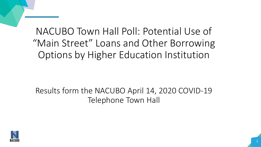## NACUBO Town Hall Poll: Potential Use of "Main Street" Loans and Other Borrowing Options by Higher Education Institution

Results form the NACUBO April 14, 2020 COVID-19 Telephone Town Hall

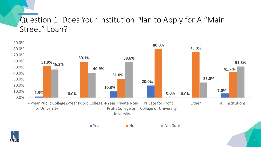## Question 1. Does Your Institution Plan to Apply for A "Main Street" Loan?



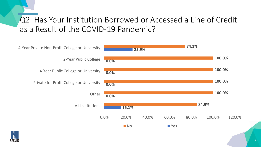## Q2. Has Your Institution Borrowed or Accessed a Line of Credit as a Result of the COVID-19 Pandemic?